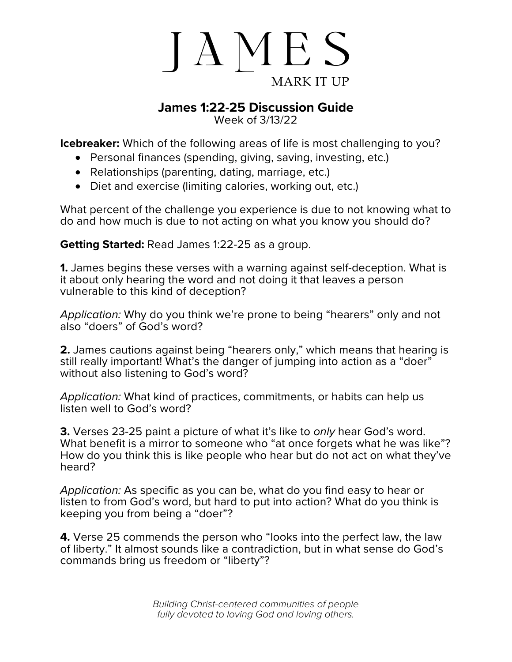

## **James 1:22-25 Discussion Guide**

Week of 3/13/22

**Icebreaker:** Which of the following areas of life is most challenging to you?

- Personal finances (spending, giving, saving, investing, etc.)
- Relationships (parenting, dating, marriage, etc.)
- Diet and exercise (limiting calories, working out, etc.)

What percent of the challenge you experience is due to not knowing what to do and how much is due to not acting on what you know you should do?

**Getting Started:** Read James 1:22-25 as a group.

**1.** James begins these verses with a warning against self-deception. What is it about only hearing the word and not doing it that leaves a person vulnerable to this kind of deception?

*Application:* Why do you think we're prone to being "hearers" only and not also "doers" of God's word?

**2.** James cautions against being "hearers only," which means that hearing is still really important! What's the danger of jumping into action as a "doer" without also listening to God's word?

*Application:* What kind of practices, commitments, or habits can help us listen well to God's word?

**3.** Verses 23-25 paint a picture of what it's like to *only* hear God's word. What benefit is a mirror to someone who "at once forgets what he was like"? How do you think this is like people who hear but do not act on what they've heard?

*Application:* As specific as you can be, what do you find easy to hear or listen to from God's word, but hard to put into action? What do you think is keeping you from being a "doer"?

**4.** Verse 25 commends the person who "looks into the perfect law, the law of liberty." It almost sounds like a contradiction, but in what sense do God's commands bring us freedom or "liberty"?

> *Building Christ-centered communities of people fully devoted to loving God and loving others.*